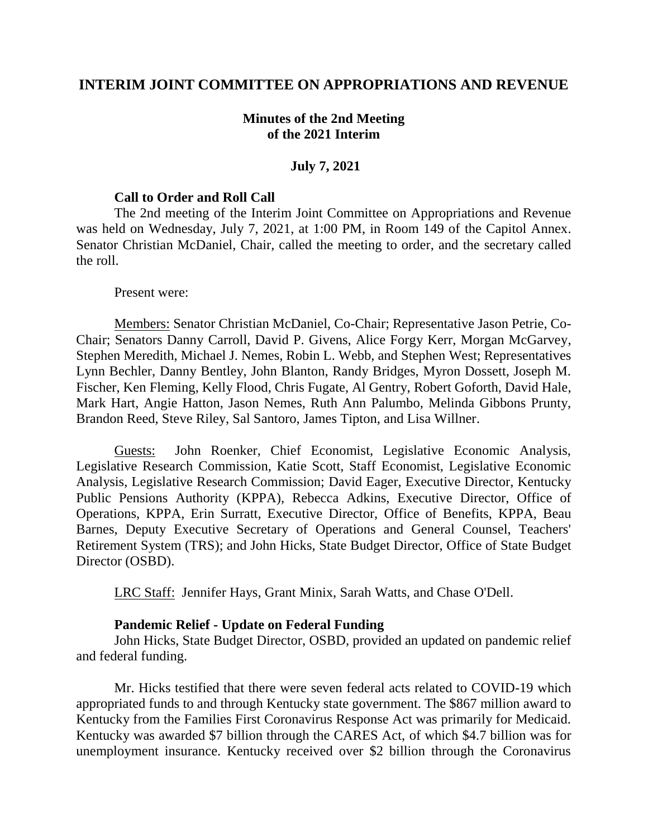# **INTERIM JOINT COMMITTEE ON APPROPRIATIONS AND REVENUE**

# **Minutes of the 2nd Meeting of the 2021 Interim**

## **July 7, 2021**

### **Call to Order and Roll Call**

The 2nd meeting of the Interim Joint Committee on Appropriations and Revenue was held on Wednesday, July 7, 2021, at 1:00 PM, in Room 149 of the Capitol Annex. Senator Christian McDaniel, Chair, called the meeting to order, and the secretary called the roll.

#### Present were:

Members: Senator Christian McDaniel, Co-Chair; Representative Jason Petrie, Co-Chair; Senators Danny Carroll, David P. Givens, Alice Forgy Kerr, Morgan McGarvey, Stephen Meredith, Michael J. Nemes, Robin L. Webb, and Stephen West; Representatives Lynn Bechler, Danny Bentley, John Blanton, Randy Bridges, Myron Dossett, Joseph M. Fischer, Ken Fleming, Kelly Flood, Chris Fugate, Al Gentry, Robert Goforth, David Hale, Mark Hart, Angie Hatton, Jason Nemes, Ruth Ann Palumbo, Melinda Gibbons Prunty, Brandon Reed, Steve Riley, Sal Santoro, James Tipton, and Lisa Willner.

Guests: John Roenker, Chief Economist, Legislative Economic Analysis, Legislative Research Commission, Katie Scott, Staff Economist, Legislative Economic Analysis, Legislative Research Commission; David Eager, Executive Director, Kentucky Public Pensions Authority (KPPA), Rebecca Adkins, Executive Director, Office of Operations, KPPA, Erin Surratt, Executive Director, Office of Benefits, KPPA, Beau Barnes, Deputy Executive Secretary of Operations and General Counsel, Teachers' Retirement System (TRS); and John Hicks, State Budget Director, Office of State Budget Director (OSBD).

LRC Staff: Jennifer Hays, Grant Minix, Sarah Watts, and Chase O'Dell.

### **Pandemic Relief - Update on Federal Funding**

John Hicks, State Budget Director, OSBD, provided an updated on pandemic relief and federal funding.

Mr. Hicks testified that there were seven federal acts related to COVID-19 which appropriated funds to and through Kentucky state government. The \$867 million award to Kentucky from the Families First Coronavirus Response Act was primarily for Medicaid. Kentucky was awarded \$7 billion through the CARES Act, of which \$4.7 billion was for unemployment insurance. Kentucky received over \$2 billion through the Coronavirus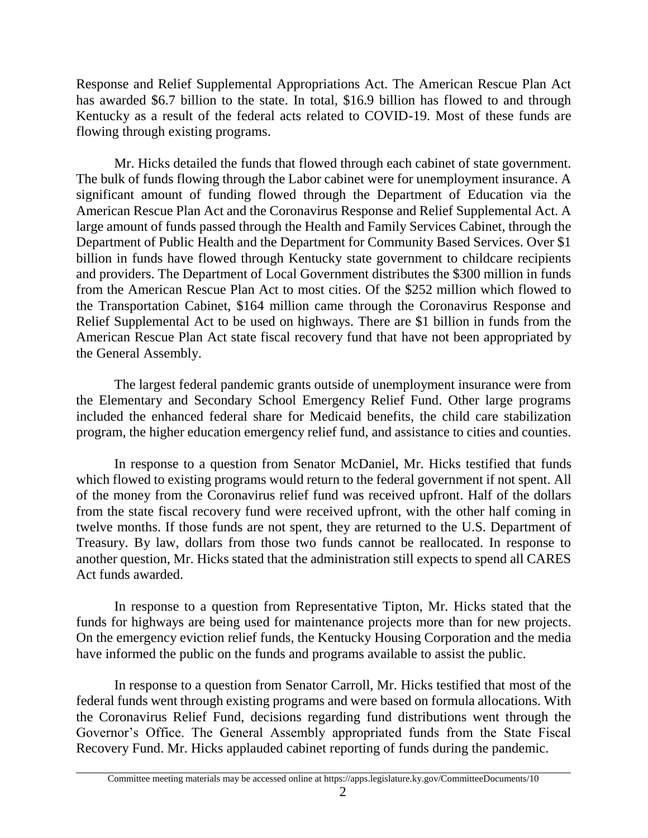Response and Relief Supplemental Appropriations Act. The American Rescue Plan Act has awarded \$6.7 billion to the state. In total, \$16.9 billion has flowed to and through Kentucky as a result of the federal acts related to COVID-19. Most of these funds are flowing through existing programs.

Mr. Hicks detailed the funds that flowed through each cabinet of state government. The bulk of funds flowing through the Labor cabinet were for unemployment insurance. A significant amount of funding flowed through the Department of Education via the American Rescue Plan Act and the Coronavirus Response and Relief Supplemental Act. A large amount of funds passed through the Health and Family Services Cabinet, through the Department of Public Health and the Department for Community Based Services. Over \$1 billion in funds have flowed through Kentucky state government to childcare recipients and providers. The Department of Local Government distributes the \$300 million in funds from the American Rescue Plan Act to most cities. Of the \$252 million which flowed to the Transportation Cabinet, \$164 million came through the Coronavirus Response and Relief Supplemental Act to be used on highways. There are \$1 billion in funds from the American Rescue Plan Act state fiscal recovery fund that have not been appropriated by the General Assembly.

The largest federal pandemic grants outside of unemployment insurance were from the Elementary and Secondary School Emergency Relief Fund. Other large programs included the enhanced federal share for Medicaid benefits, the child care stabilization program, the higher education emergency relief fund, and assistance to cities and counties.

In response to a question from Senator McDaniel, Mr. Hicks testified that funds which flowed to existing programs would return to the federal government if not spent. All of the money from the Coronavirus relief fund was received upfront. Half of the dollars from the state fiscal recovery fund were received upfront, with the other half coming in twelve months. If those funds are not spent, they are returned to the U.S. Department of Treasury. By law, dollars from those two funds cannot be reallocated. In response to another question, Mr. Hicks stated that the administration still expects to spend all CARES Act funds awarded.

In response to a question from Representative Tipton, Mr. Hicks stated that the funds for highways are being used for maintenance projects more than for new projects. On the emergency eviction relief funds, the Kentucky Housing Corporation and the media have informed the public on the funds and programs available to assist the public.

In response to a question from Senator Carroll, Mr. Hicks testified that most of the federal funds went through existing programs and were based on formula allocations. With the Coronavirus Relief Fund, decisions regarding fund distributions went through the Governor's Office. The General Assembly appropriated funds from the State Fiscal Recovery Fund. Mr. Hicks applauded cabinet reporting of funds during the pandemic.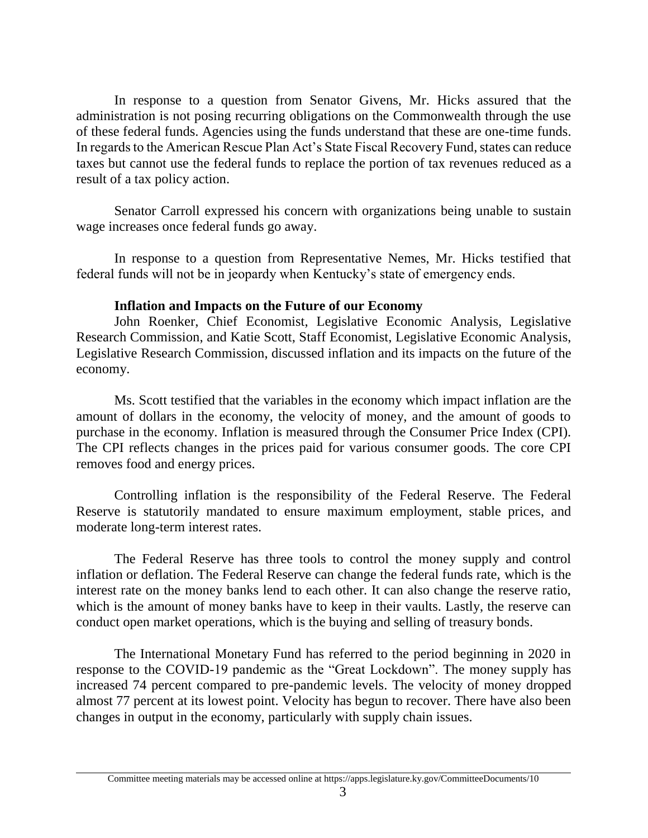In response to a question from Senator Givens, Mr. Hicks assured that the administration is not posing recurring obligations on the Commonwealth through the use of these federal funds. Agencies using the funds understand that these are one-time funds. In regards to the American Rescue Plan Act's State Fiscal Recovery Fund, states can reduce taxes but cannot use the federal funds to replace the portion of tax revenues reduced as a result of a tax policy action.

Senator Carroll expressed his concern with organizations being unable to sustain wage increases once federal funds go away.

In response to a question from Representative Nemes, Mr. Hicks testified that federal funds will not be in jeopardy when Kentucky's state of emergency ends.

# **Inflation and Impacts on the Future of our Economy**

John Roenker, Chief Economist, Legislative Economic Analysis, Legislative Research Commission, and Katie Scott, Staff Economist, Legislative Economic Analysis, Legislative Research Commission, discussed inflation and its impacts on the future of the economy.

Ms. Scott testified that the variables in the economy which impact inflation are the amount of dollars in the economy, the velocity of money, and the amount of goods to purchase in the economy. Inflation is measured through the Consumer Price Index (CPI). The CPI reflects changes in the prices paid for various consumer goods. The core CPI removes food and energy prices.

Controlling inflation is the responsibility of the Federal Reserve. The Federal Reserve is statutorily mandated to ensure maximum employment, stable prices, and moderate long-term interest rates.

The Federal Reserve has three tools to control the money supply and control inflation or deflation. The Federal Reserve can change the federal funds rate, which is the interest rate on the money banks lend to each other. It can also change the reserve ratio, which is the amount of money banks have to keep in their vaults. Lastly, the reserve can conduct open market operations, which is the buying and selling of treasury bonds.

The International Monetary Fund has referred to the period beginning in 2020 in response to the COVID-19 pandemic as the "Great Lockdown". The money supply has increased 74 percent compared to pre-pandemic levels. The velocity of money dropped almost 77 percent at its lowest point. Velocity has begun to recover. There have also been changes in output in the economy, particularly with supply chain issues.

Committee meeting materials may be accessed online at https://apps.legislature.ky.gov/CommitteeDocuments/10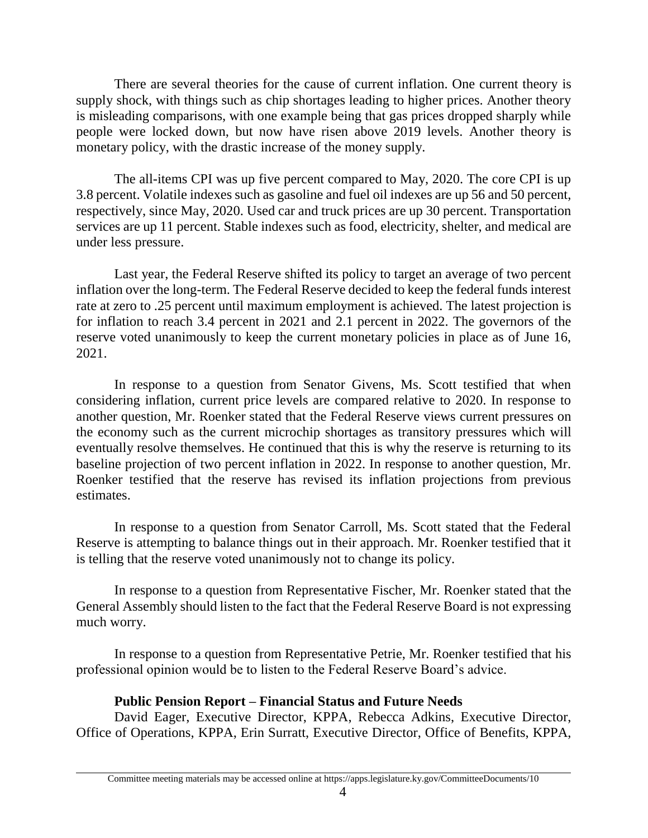There are several theories for the cause of current inflation. One current theory is supply shock, with things such as chip shortages leading to higher prices. Another theory is misleading comparisons, with one example being that gas prices dropped sharply while people were locked down, but now have risen above 2019 levels. Another theory is monetary policy, with the drastic increase of the money supply.

The all-items CPI was up five percent compared to May, 2020. The core CPI is up 3.8 percent. Volatile indexes such as gasoline and fuel oil indexes are up 56 and 50 percent, respectively, since May, 2020. Used car and truck prices are up 30 percent. Transportation services are up 11 percent. Stable indexes such as food, electricity, shelter, and medical are under less pressure.

Last year, the Federal Reserve shifted its policy to target an average of two percent inflation over the long-term. The Federal Reserve decided to keep the federal funds interest rate at zero to .25 percent until maximum employment is achieved. The latest projection is for inflation to reach 3.4 percent in 2021 and 2.1 percent in 2022. The governors of the reserve voted unanimously to keep the current monetary policies in place as of June 16, 2021.

In response to a question from Senator Givens, Ms. Scott testified that when considering inflation, current price levels are compared relative to 2020. In response to another question, Mr. Roenker stated that the Federal Reserve views current pressures on the economy such as the current microchip shortages as transitory pressures which will eventually resolve themselves. He continued that this is why the reserve is returning to its baseline projection of two percent inflation in 2022. In response to another question, Mr. Roenker testified that the reserve has revised its inflation projections from previous estimates.

In response to a question from Senator Carroll, Ms. Scott stated that the Federal Reserve is attempting to balance things out in their approach. Mr. Roenker testified that it is telling that the reserve voted unanimously not to change its policy.

In response to a question from Representative Fischer, Mr. Roenker stated that the General Assembly should listen to the fact that the Federal Reserve Board is not expressing much worry.

In response to a question from Representative Petrie, Mr. Roenker testified that his professional opinion would be to listen to the Federal Reserve Board's advice.

# **Public Pension Report – Financial Status and Future Needs**

David Eager, Executive Director, KPPA, Rebecca Adkins, Executive Director, Office of Operations, KPPA, Erin Surratt, Executive Director, Office of Benefits, KPPA,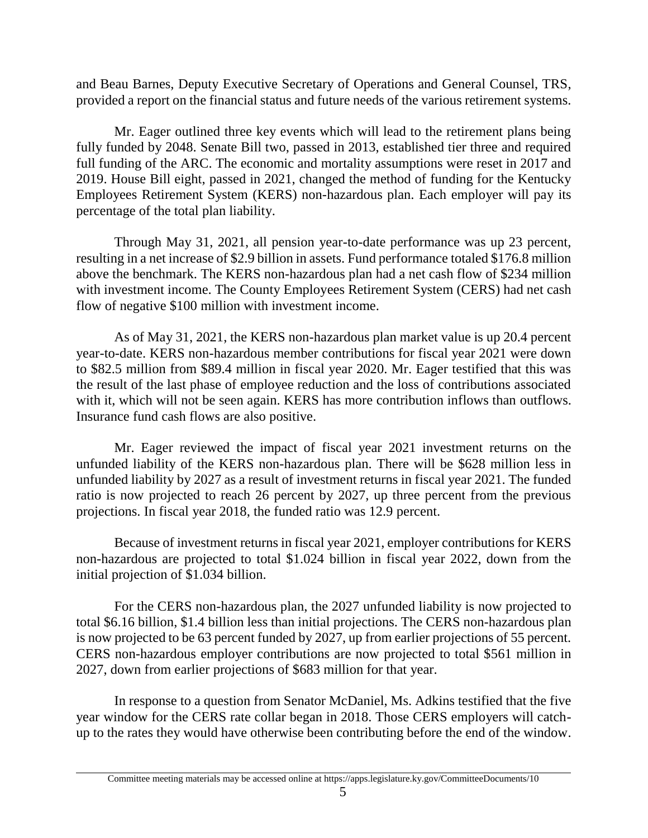and Beau Barnes, Deputy Executive Secretary of Operations and General Counsel, TRS, provided a report on the financial status and future needs of the various retirement systems.

Mr. Eager outlined three key events which will lead to the retirement plans being fully funded by 2048. Senate Bill two, passed in 2013, established tier three and required full funding of the ARC. The economic and mortality assumptions were reset in 2017 and 2019. House Bill eight, passed in 2021, changed the method of funding for the Kentucky Employees Retirement System (KERS) non-hazardous plan. Each employer will pay its percentage of the total plan liability.

Through May 31, 2021, all pension year-to-date performance was up 23 percent, resulting in a net increase of \$2.9 billion in assets. Fund performance totaled \$176.8 million above the benchmark. The KERS non-hazardous plan had a net cash flow of \$234 million with investment income. The County Employees Retirement System (CERS) had net cash flow of negative \$100 million with investment income.

As of May 31, 2021, the KERS non-hazardous plan market value is up 20.4 percent year-to-date. KERS non-hazardous member contributions for fiscal year 2021 were down to \$82.5 million from \$89.4 million in fiscal year 2020. Mr. Eager testified that this was the result of the last phase of employee reduction and the loss of contributions associated with it, which will not be seen again. KERS has more contribution inflows than outflows. Insurance fund cash flows are also positive.

Mr. Eager reviewed the impact of fiscal year 2021 investment returns on the unfunded liability of the KERS non-hazardous plan. There will be \$628 million less in unfunded liability by 2027 as a result of investment returns in fiscal year 2021. The funded ratio is now projected to reach 26 percent by 2027, up three percent from the previous projections. In fiscal year 2018, the funded ratio was 12.9 percent.

Because of investment returns in fiscal year 2021, employer contributions for KERS non-hazardous are projected to total \$1.024 billion in fiscal year 2022, down from the initial projection of \$1.034 billion.

For the CERS non-hazardous plan, the 2027 unfunded liability is now projected to total \$6.16 billion, \$1.4 billion less than initial projections. The CERS non-hazardous plan is now projected to be 63 percent funded by 2027, up from earlier projections of 55 percent. CERS non-hazardous employer contributions are now projected to total \$561 million in 2027, down from earlier projections of \$683 million for that year.

In response to a question from Senator McDaniel, Ms. Adkins testified that the five year window for the CERS rate collar began in 2018. Those CERS employers will catchup to the rates they would have otherwise been contributing before the end of the window.